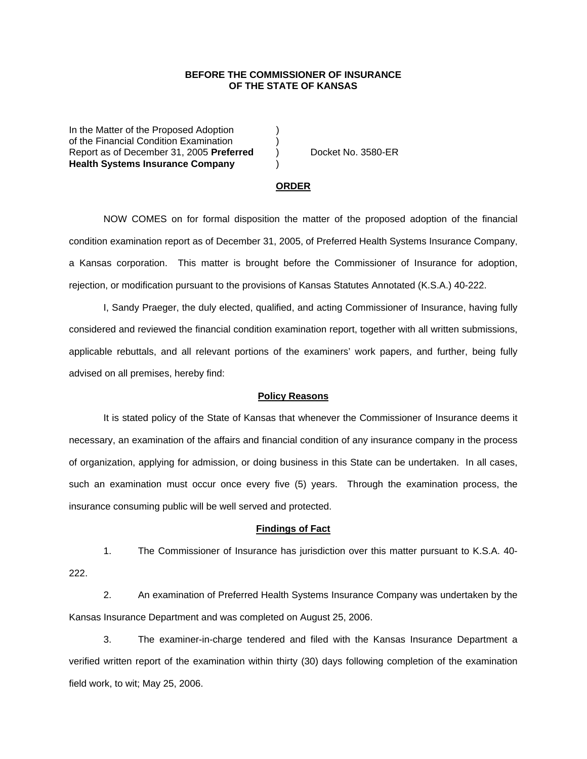### **BEFORE THE COMMISSIONER OF INSURANCE OF THE STATE OF KANSAS**

In the Matter of the Proposed Adoption of the Financial Condition Examination ) Report as of December 31, 2005 **Preferred** ) Docket No. 3580-ER **Health Systems Insurance Company** )

#### **ORDER**

 NOW COMES on for formal disposition the matter of the proposed adoption of the financial condition examination report as of December 31, 2005, of Preferred Health Systems Insurance Company, a Kansas corporation. This matter is brought before the Commissioner of Insurance for adoption, rejection, or modification pursuant to the provisions of Kansas Statutes Annotated (K.S.A.) 40-222.

 I, Sandy Praeger, the duly elected, qualified, and acting Commissioner of Insurance, having fully considered and reviewed the financial condition examination report, together with all written submissions, applicable rebuttals, and all relevant portions of the examiners' work papers, and further, being fully advised on all premises, hereby find:

## **Policy Reasons**

 It is stated policy of the State of Kansas that whenever the Commissioner of Insurance deems it necessary, an examination of the affairs and financial condition of any insurance company in the process of organization, applying for admission, or doing business in this State can be undertaken. In all cases, such an examination must occur once every five (5) years. Through the examination process, the insurance consuming public will be well served and protected.

#### **Findings of Fact**

 1. The Commissioner of Insurance has jurisdiction over this matter pursuant to K.S.A. 40- 222.

 2. An examination of Preferred Health Systems Insurance Company was undertaken by the Kansas Insurance Department and was completed on August 25, 2006.

 3. The examiner-in-charge tendered and filed with the Kansas Insurance Department a verified written report of the examination within thirty (30) days following completion of the examination field work, to wit; May 25, 2006.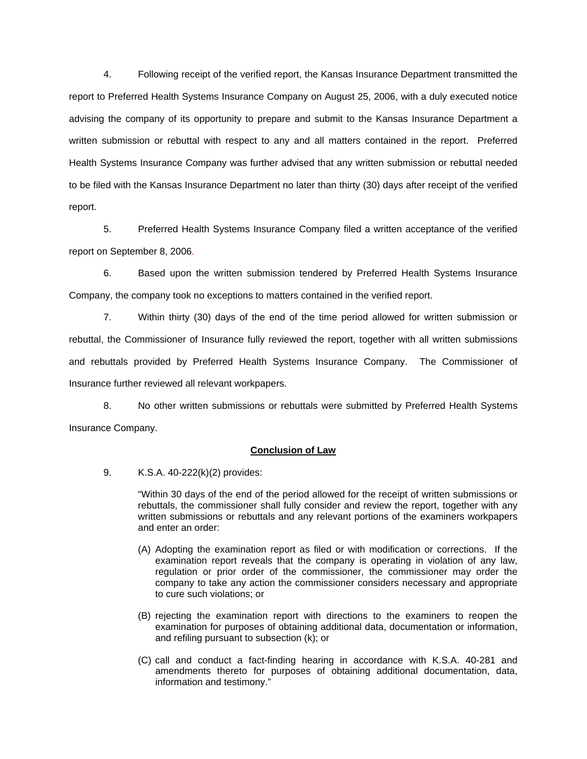4. Following receipt of the verified report, the Kansas Insurance Department transmitted the report to Preferred Health Systems Insurance Company on August 25, 2006, with a duly executed notice advising the company of its opportunity to prepare and submit to the Kansas Insurance Department a written submission or rebuttal with respect to any and all matters contained in the report. Preferred Health Systems Insurance Company was further advised that any written submission or rebuttal needed to be filed with the Kansas Insurance Department no later than thirty (30) days after receipt of the verified report.

 5. Preferred Health Systems Insurance Company filed a written acceptance of the verified report on September 8, 2006.

6. Based upon the written submission tendered by Preferred Health Systems Insurance Company, the company took no exceptions to matters contained in the verified report.

 7. Within thirty (30) days of the end of the time period allowed for written submission or rebuttal, the Commissioner of Insurance fully reviewed the report, together with all written submissions and rebuttals provided by Preferred Health Systems Insurance Company. The Commissioner of Insurance further reviewed all relevant workpapers.

 8. No other written submissions or rebuttals were submitted by Preferred Health Systems Insurance Company.

## **Conclusion of Law**

9. K.S.A. 40-222(k)(2) provides:

"Within 30 days of the end of the period allowed for the receipt of written submissions or rebuttals, the commissioner shall fully consider and review the report, together with any written submissions or rebuttals and any relevant portions of the examiners workpapers and enter an order:

- (A) Adopting the examination report as filed or with modification or corrections. If the examination report reveals that the company is operating in violation of any law, regulation or prior order of the commissioner, the commissioner may order the company to take any action the commissioner considers necessary and appropriate to cure such violations; or
- (B) rejecting the examination report with directions to the examiners to reopen the examination for purposes of obtaining additional data, documentation or information, and refiling pursuant to subsection (k); or
- (C) call and conduct a fact-finding hearing in accordance with K.S.A. 40-281 and amendments thereto for purposes of obtaining additional documentation, data, information and testimony."